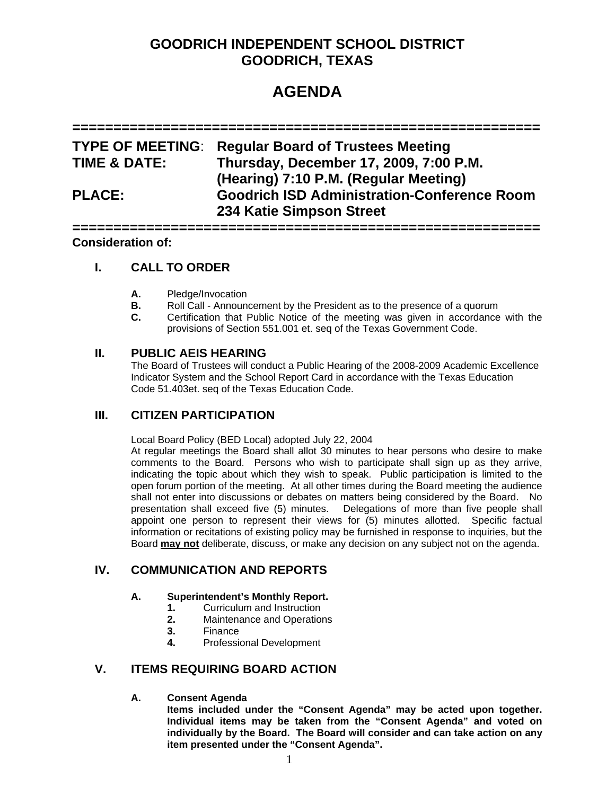## **GOODRICH INDEPENDENT SCHOOL DISTRICT GOODRICH, TEXAS**

# **AGENDA**

**=========================================================** 

|                         | <b>TYPE OF MEETING: Regular Board of Trustees Meeting</b>                       |
|-------------------------|---------------------------------------------------------------------------------|
| <b>TIME &amp; DATE:</b> | Thursday, December 17, 2009, 7:00 P.M.<br>(Hearing) 7:10 P.M. (Regular Meeting) |
| <b>PLACE:</b>           | <b>Goodrich ISD Administration-Conference Room</b><br>234 Katie Simpson Street  |

**=========================================================** 

## **Consideration of:**

## **I. CALL TO ORDER**

- **A.** Pledge/Invocation
- **B.** Roll Call Announcement by the President as to the presence of a quorum
- **C.** Certification that Public Notice of the meeting was given in accordance with the provisions of Section 551.001 et. seq of the Texas Government Code.

#### **II. PUBLIC AEIS HEARING**

 The Board of Trustees will conduct a Public Hearing of the 2008-2009 Academic Excellence Indicator System and the School Report Card in accordance with the Texas Education Code 51.403et. seq of the Texas Education Code.

## **III. CITIZEN PARTICIPATION**

Local Board Policy (BED Local) adopted July 22, 2004

At regular meetings the Board shall allot 30 minutes to hear persons who desire to make comments to the Board. Persons who wish to participate shall sign up as they arrive, indicating the topic about which they wish to speak. Public participation is limited to the open forum portion of the meeting. At all other times during the Board meeting the audience shall not enter into discussions or debates on matters being considered by the Board. No presentation shall exceed five (5) minutes. Delegations of more than five people shall appoint one person to represent their views for (5) minutes allotted. Specific factual information or recitations of existing policy may be furnished in response to inquiries, but the Board **may not** deliberate, discuss, or make any decision on any subject not on the agenda.

## **IV. COMMUNICATION AND REPORTS**

#### **A. Superintendent's Monthly Report.**

- **1.** Curriculum and Instruction
- **2.** Maintenance and Operations
- **3.** Finance
- **4.** Professional Development

## **V. ITEMS REQUIRING BOARD ACTION**

#### **A. Consent Agenda**

**Items included under the "Consent Agenda" may be acted upon together. Individual items may be taken from the "Consent Agenda" and voted on individually by the Board. The Board will consider and can take action on any item presented under the "Consent Agenda".**